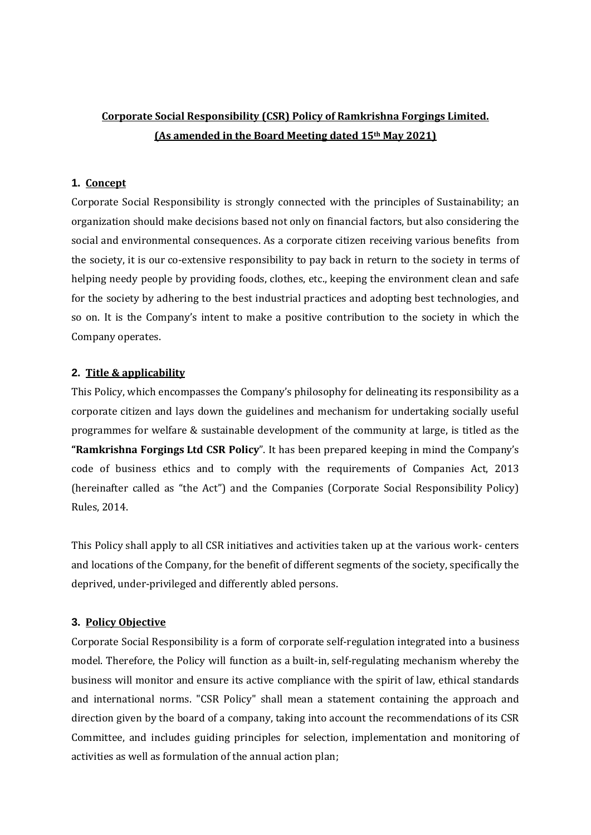# **Corporate Social Responsibility (CSR) Policy of Ramkrishna Forgings Limited. (As amended in the Board Meeting dated 15th May 2021)**

## **1. Concept**

Corporate Social Responsibility is strongly connected with the principles of Sustainability; an organization should make decisions based not only on financial factors, but also considering the social and environmental consequences. As a corporate citizen receiving various benefits from the society, it is our co-extensive responsibility to pay back in return to the society in terms of helping needy people by providing foods, clothes, etc., keeping the environment clean and safe for the society by adhering to the best industrial practices and adopting best technologies, and so on. It is the Company's intent to make a positive contribution to the society in which the Company operates.

### **2. Title & applicability**

This Policy, which encompasses the Company's philosophy for delineating its responsibility as a corporate citizen and lays down the guidelines and mechanism for undertaking socially useful programmes for welfare & sustainable development of the community at large, is titled as the **"Ramkrishna Forgings Ltd CSR Policy**". It has been prepared keeping in mind the Company's code of business ethics and to comply with the requirements of Companies Act, 2013 (hereinafter called as "the Act") and the Companies (Corporate Social Responsibility Policy) Rules, 2014.

This Policy shall apply to all CSR initiatives and activities taken up at the various work- centers and locations of the Company, for the benefit of different segments of the society, specifically the deprived, under-privileged and differently abled persons.

### **3. Policy Objective**

Corporate Social Responsibility is a form of corporate self-regulation integrated into a business model. Therefore, the Policy will function as a built-in, self-regulating mechanism whereby the business will monitor and ensure its active compliance with the spirit of law, ethical standards and international norms. "CSR Policy" shall mean a statement containing the approach and direction given by the board of a company, taking into account the recommendations of its CSR Committee, and includes guiding principles for selection, implementation and monitoring of activities as well as formulation of the annual action plan;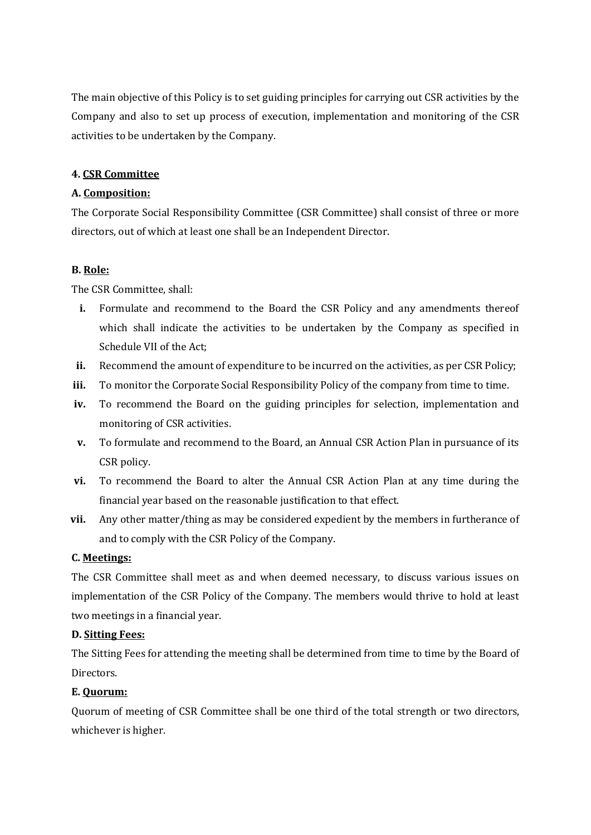The main objective of this Policy is to set guiding principles for carrying out CSR activities by the Company and also to set up process of execution, implementation and monitoring of the CSR activities to be undertaken by the Company.

# **4. CSR Committee**

# **A. Composition:**

The Corporate Social Responsibility Committee (CSR Committee) shall consist of three or more directors, out of which at least one shall be an Independent Director.

# **B. Role:**

The CSR Committee, shall:

- **i.** Formulate and recommend to the Board the CSR Policy and any amendments thereof which shall indicate the activities to be undertaken by the Company as specified in Schedule VII of the Act;
- ii. Recommend the amount of expenditure to be incurred on the activities, as per CSR Policy;
- **iii.** To monitor the Corporate Social Responsibility Policy of the company from time to time.
- **iv.** To recommend the Board on the guiding principles for selection, implementation and monitoring of CSR activities.
- **v.** To formulate and recommend to the Board, an Annual CSR Action Plan in pursuance of its CSR policy.
- **vi.** To recommend the Board to alter the Annual CSR Action Plan at any time during the financial year based on the reasonable justification to that effect.
- **vii.** Any other matter/thing as may be considered expedient by the members in furtherance of and to comply with the CSR Policy of the Company.

### **C. Meetings:**

The CSR Committee shall meet as and when deemed necessary, to discuss various issues on implementation of the CSR Policy of the Company. The members would thrive to hold at least two meetings in a financial year.

### **D. Sitting Fees:**

The Sitting Fees for attending the meeting shall be determined from time to time by the Board of Directors.

# **E. Quorum:**

Quorum of meeting of CSR Committee shall be one third of the total strength or two directors, whichever is higher.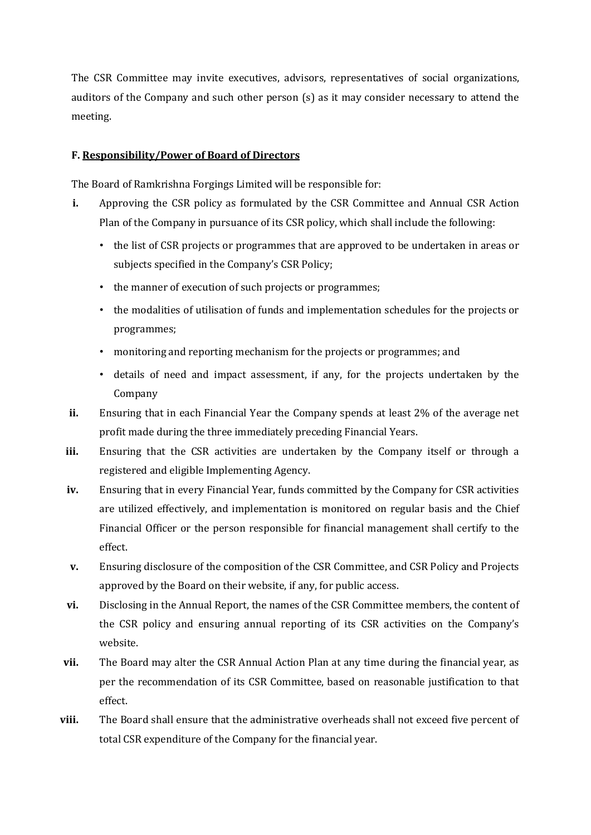The CSR Committee may invite executives, advisors, representatives of social organizations, auditors of the Company and such other person (s) as it may consider necessary to attend the meeting.

## **F. Responsibility/Power of Board of Directors**

The Board of Ramkrishna Forgings Limited will be responsible for:

- **i.** Approving the CSR policy as formulated by the CSR Committee and Annual CSR Action Plan of the Company in pursuance of its CSR policy, which shall include the following:
	- the list of CSR projects or programmes that are approved to be undertaken in areas or subjects specified in the Company's CSR Policy;
	- the manner of execution of such projects or programmes;
	- the modalities of utilisation of funds and implementation schedules for the projects or programmes;
	- monitoring and reporting mechanism for the projects or programmes; and
	- details of need and impact assessment, if any, for the projects undertaken by the Company
- **ii.** Ensuring that in each Financial Year the Company spends at least 2% of the average net profit made during the three immediately preceding Financial Years.
- **iii.** Ensuring that the CSR activities are undertaken by the Company itself or through a registered and eligible Implementing Agency.
- **iv.** Ensuring that in every Financial Year, funds committed by the Company for CSR activities are utilized effectively, and implementation is monitored on regular basis and the Chief Financial Officer or the person responsible for financial management shall certify to the effect.
- **v.** Ensuring disclosure of the composition of the CSR Committee, and CSR Policy and Projects approved by the Board on their website, if any, for public access.
- **vi.** Disclosing in the Annual Report, the names of the CSR Committee members, the content of the CSR policy and ensuring annual reporting of its CSR activities on the Company's website.
- **vii.** The Board may alter the CSR Annual Action Plan at any time during the financial year, as per the recommendation of its CSR Committee, based on reasonable justification to that effect.
- **viii.** The Board shall ensure that the administrative overheads shall not exceed five percent of total CSR expenditure of the Company for the financial year.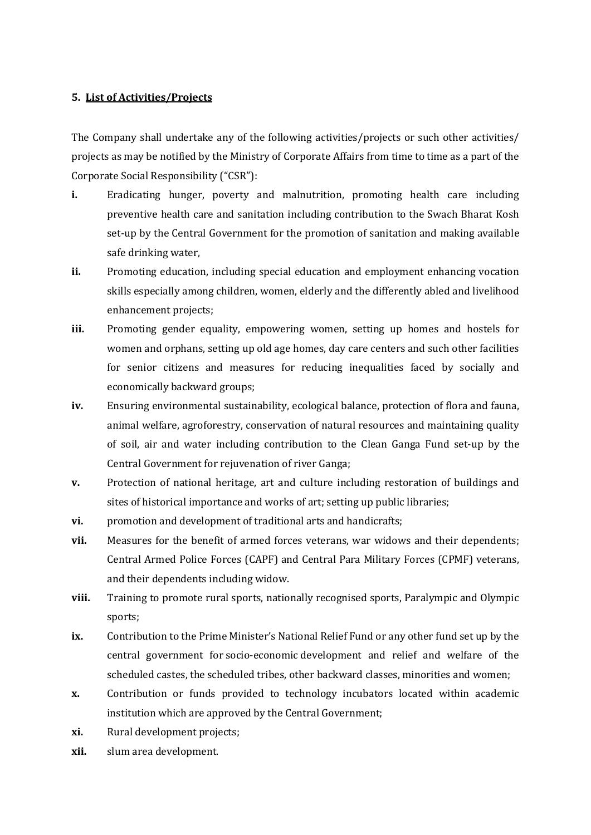### **5. List of Activities/Projects**

The Company shall undertake any of the following activities/projects or such other activities/ projects as may be notified by the Ministry of Corporate Affairs from time to time as a part of the Corporate Social Responsibility ("CSR"):

- **i.** Eradicating hunger, poverty and malnutrition, promoting health care including preventive health care and sanitation including contribution to the Swach Bharat Kosh set-up by the Central Government for the promotion of sanitation and making available safe drinking water,
- **ii.** Promoting education, including special education and employment enhancing vocation skills especially among children, women, elderly and the differently abled and livelihood enhancement projects;
- **iii.** Promoting gender equality, empowering women, setting up homes and hostels for women and orphans, setting up old age homes, day care centers and such other facilities for senior citizens and measures for reducing inequalities faced by socially and economically backward groups;
- **iv.** Ensuring environmental sustainability, ecological balance, protection of flora and fauna, animal welfare, agroforestry, conservation of natural resources and maintaining quality of soil, air and water including contribution to the Clean Ganga Fund set-up by the Central Government for rejuvenation of river Ganga;
- **v.** Protection of national heritage, art and culture including restoration of buildings and sites of historical importance and works of art; setting up public libraries;
- **vi.** promotion and development of traditional arts and handicrafts;
- **vii.** Measures for the benefit of armed forces veterans, war widows and their dependents; Central Armed Police Forces (CAPF) and Central Para Military Forces (CPMF) veterans, and their dependents including widow.
- **viii.** Training to promote rural sports, nationally recognised sports, Paralympic and Olympic sports;
- **ix.** Contribution to the Prime Minister's National Relief Fund or any other fund set up by the central government for socio-economic development and relief and welfare of the scheduled castes, the scheduled tribes, other backward classes, minorities and women;
- **x.** Contribution or funds provided to technology incubators located within academic institution which are approved by the Central Government;
- **xi.** Rural development projects;
- **xii.** slum area development.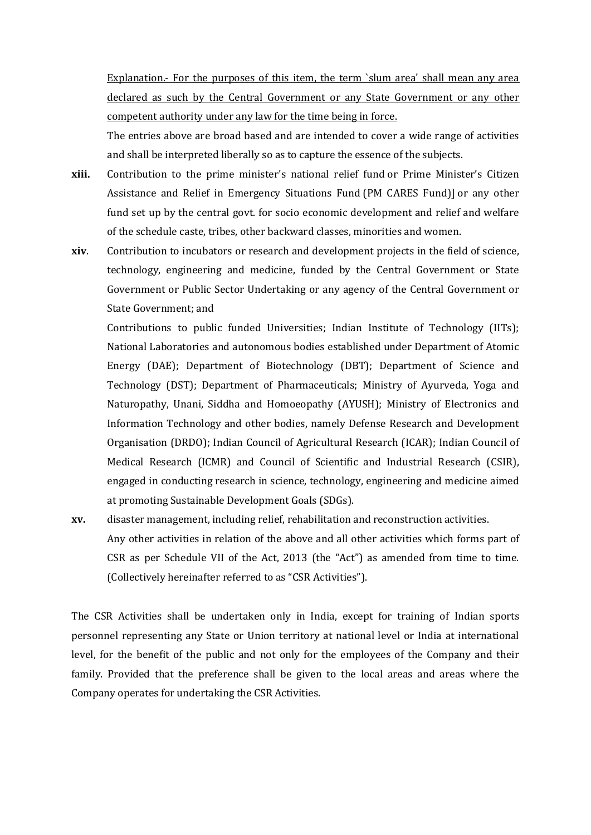Explanation.- For the purposes of this item, the term `slum area' shall mean any area declared as such by the Central Government or any State Government or any other competent authority under any law for the time being in force.

The entries above are broad based and are intended to cover a wide range of activities and shall be interpreted liberally so as to capture the essence of the subjects.

- **xiii.** Contribution to the prime minister's national relief fund or Prime Minister's Citizen Assistance and Relief in Emergency Situations Fund (PM CARES Fund)] or any other fund set up by the central govt. for socio economic development and relief and welfare of the schedule caste, tribes, other backward classes, minorities and women.
- **xiv**. Contribution to incubators or research and development projects in the field of science, technology, engineering and medicine, funded by the Central Government or State Government or Public Sector Undertaking or any agency of the Central Government or State Government; and

Contributions to public funded Universities; Indian Institute of Technology (IITs); National Laboratories and autonomous bodies established under Department of Atomic Energy (DAE); Department of Biotechnology (DBT); Department of Science and Technology (DST); Department of Pharmaceuticals; Ministry of Ayurveda, Yoga and Naturopathy, Unani, Siddha and Homoeopathy (AYUSH); Ministry of Electronics and Information Technology and other bodies, namely Defense Research and Development Organisation (DRDO); Indian Council of Agricultural Research (ICAR); Indian Council of Medical Research (ICMR) and Council of Scientific and Industrial Research (CSIR), engaged in conducting research in science, technology, engineering and medicine aimed at promoting Sustainable Development Goals (SDGs).

**xv.** disaster management, including relief, rehabilitation and reconstruction activities. Any other activities in relation of the above and all other activities which forms part of CSR as per Schedule VII of the Act, 2013 (the "Act") as amended from time to time. (Collectively hereinafter referred to as "CSR Activities").

The CSR Activities shall be undertaken only in India, except for training of Indian sports personnel representing any State or Union territory at national level or India at international level, for the benefit of the public and not only for the employees of the Company and their family. Provided that the preference shall be given to the local areas and areas where the Company operates for undertaking the CSR Activities.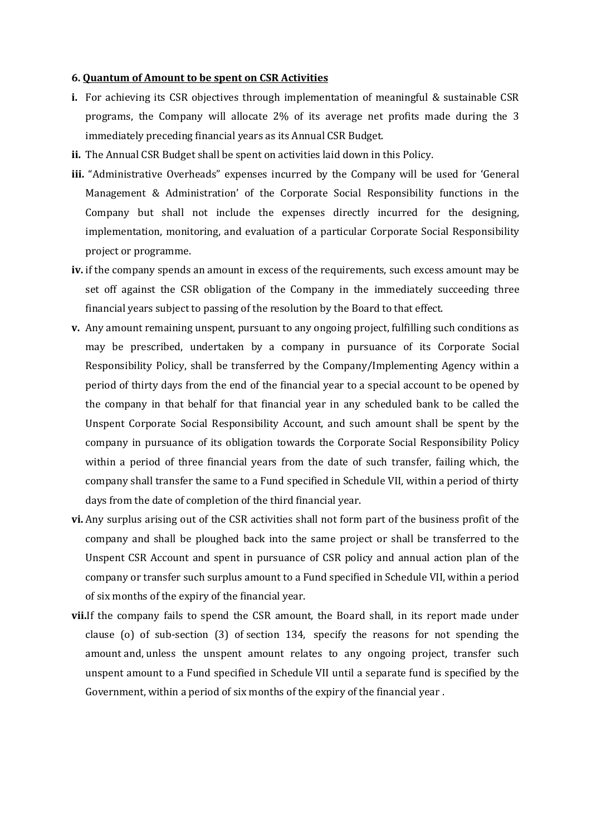#### **6. Quantum of Amount to be spent on CSR Activities**

- **i.** For achieving its CSR objectives through implementation of meaningful & sustainable CSR programs, the Company will allocate 2% of its average net profits made during the 3 immediately preceding financial years as its Annual CSR Budget.
- **ii.** The Annual CSR Budget shall be spent on activities laid down in this Policy.
- **iii.** "Administrative Overheads" expenses incurred by the Company will be used for 'General Management & Administration' of the Corporate Social Responsibility functions in the Company but shall not include the expenses directly incurred for the designing, implementation, monitoring, and evaluation of a particular Corporate Social Responsibility project or programme.
- **iv.** if the company spends an amount in excess of the requirements, such excess amount may be set off against the CSR obligation of the Company in the immediately succeeding three financial years subject to passing of the resolution by the Board to that effect.
- **v.** Any amount remaining unspent, pursuant to any ongoing project, fulfilling such conditions as may be prescribed, undertaken by a company in pursuance of its Corporate Social Responsibility Policy, shall be transferred by the Company/Implementing Agency within a period of thirty days from the end of the financial year to a special account to be opened by the company in that behalf for that financial year in any scheduled bank to be called the Unspent Corporate Social Responsibility Account, and such amount shall be spent by the company in pursuance of its obligation towards the Corporate Social Responsibility Policy within a period of three financial years from the date of such transfer, failing which, the company shall transfer the same to a Fund specified in Schedule VII, within a period of thirty days from the date of completion of the third financial year.
- **vi.** Any surplus arising out of the CSR activities shall not form part of the business profit of the company and shall be ploughed back into the same project or shall be transferred to the Unspent CSR Account and spent in pursuance of CSR policy and annual action plan of the company or transfer such surplus amount to a Fund specified in Schedule VII, within a period of six months of the expiry of the financial year.
- **vii.**If the company fails to spend the CSR amount, the Board shall, in its report made under clause (o) of sub-section (3) of [section 134,](http://ebook.mca.gov.in/Actpagedisplay.aspx?PAGENAME=17517) specify the reasons for not spending the amount and, unless the unspent amount relates to any ongoing project, transfer such unspent amount to a Fund specified in Schedule VII until a separate fund is specified by the Government, within a period of six months of the expiry of the financial year .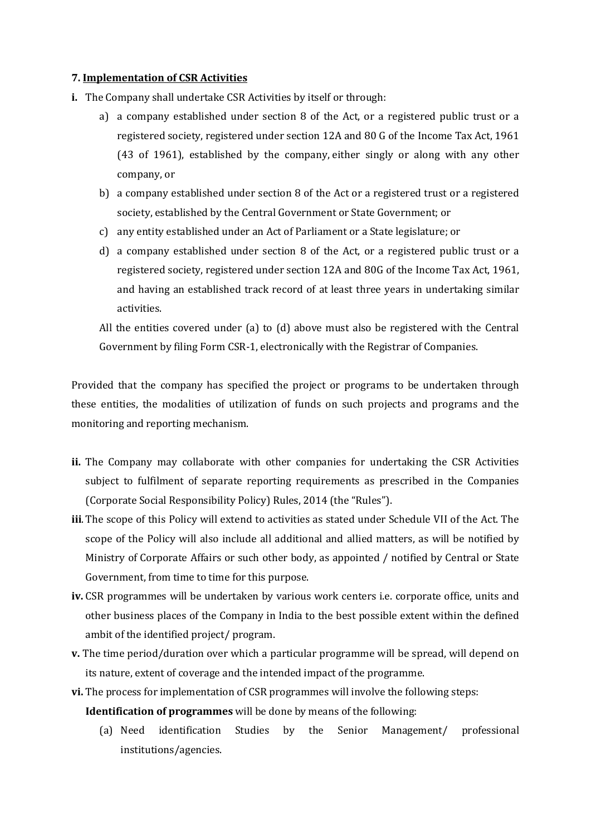### **7. Implementation of CSR Activities**

- **i.** The Company shall undertake CSR Activities by itself or through:
	- a) a company established under section 8 of the Act, or a registered public trust or a registered society, registered under section 12A and 80 G of the Income Tax Act, 1961 (43 of 1961), established by the company, either singly or along with any other company, or
	- b) a company established under section 8 of the Act or a registered trust or a registered society, established by the Central Government or State Government; or
	- c) any entity established under an Act of Parliament or a State legislature; or
	- d) a company established under section 8 of the Act, or a registered public trust or a registered society, registered under section 12A and 80G of the Income Tax Act, 1961, and having an established track record of at least three years in undertaking similar activities.

All the entities covered under (a) to (d) above must also be registered with the Central Government by filing Form CSR-1, electronically with the Registrar of Companies.

Provided that the company has specified the project or programs to be undertaken through these entities, the modalities of utilization of funds on such projects and programs and the monitoring and reporting mechanism.

- **ii.** The Company may collaborate with other companies for undertaking the CSR Activities subject to fulfilment of separate reporting requirements as prescribed in the Companies (Corporate Social Responsibility Policy) Rules, 2014 (the "Rules").
- **iii**.The scope of this Policy will extend to activities as stated under Schedule VII of the Act. The scope of the Policy will also include all additional and allied matters, as will be notified by Ministry of Corporate Affairs or such other body, as appointed / notified by Central or State Government, from time to time for this purpose.
- **iv.** CSR programmes will be undertaken by various work centers i.e. corporate office, units and other business places of the Company in India to the best possible extent within the defined ambit of the identified project/ program.
- **v.** The time period/duration over which a particular programme will be spread, will depend on its nature, extent of coverage and the intended impact of the programme.
- **vi.** The process for implementation of CSR programmes will involve the following steps:

**Identification of programmes** will be done by means of the following:

(a) Need identification Studies by the Senior Management/ professional institutions/agencies.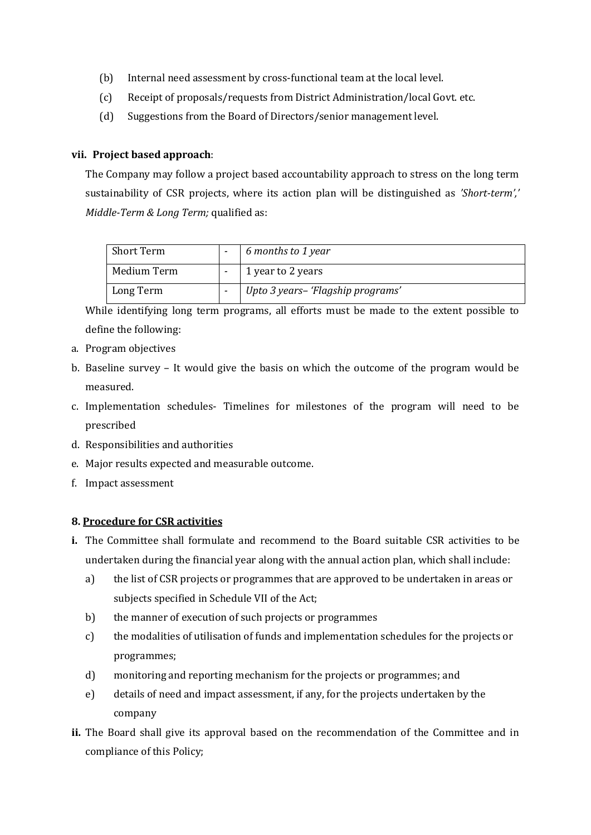- (b) Internal need assessment by cross‐functional team at the local level.
- (c) Receipt of proposals/requests from District Administration/local Govt. etc.
- (d) Suggestions from the Board of Directors/senior management level.

## **vii. Project based approach**:

The Company may follow a project based accountability approach to stress on the long term sustainability of CSR projects, where its action plan will be distinguished as *'Short‐term',' Middle‐Term & Long Term;* qualified as:

| Short Term  | 6 months to 1 year                |
|-------------|-----------------------------------|
| Medium Term | 1 year to 2 years                 |
| Long Term   | Upto 3 years- 'Flagship programs' |

While identifying long term programs, all efforts must be made to the extent possible to define the following:

- a. Program objectives
- b. Baseline survey It would give the basis on which the outcome of the program would be measured.
- c. Implementation schedules‐ Timelines for milestones of the program will need to be prescribed
- d. Responsibilities and authorities
- e. Major results expected and measurable outcome.
- f. Impact assessment

### **8. Procedure for CSR activities**

- **i.** The Committee shall formulate and recommend to the Board suitable CSR activities to be undertaken during the financial year along with the annual action plan, which shall include:
	- a) the list of CSR projects or programmes that are approved to be undertaken in areas or subjects specified in Schedule VII of the Act;
	- b) the manner of execution of such projects or programmes
	- c) the modalities of utilisation of funds and implementation schedules for the projects or programmes;
	- d) monitoring and reporting mechanism for the projects or programmes; and
	- e) details of need and impact assessment, if any, for the projects undertaken by the company
- **ii.** The Board shall give its approval based on the recommendation of the Committee and in compliance of this Policy;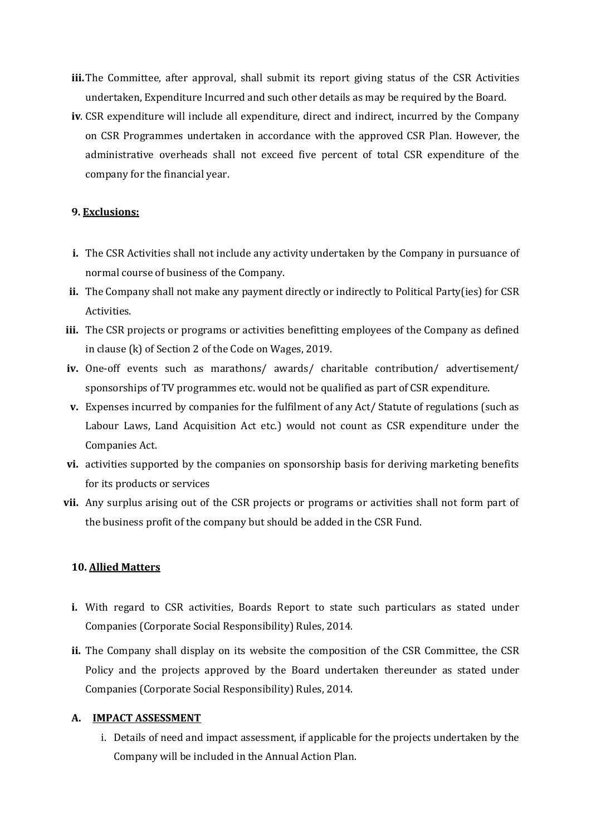- **iii.**The Committee, after approval, shall submit its report giving status of the CSR Activities undertaken, Expenditure Incurred and such other details as may be required by the Board.
- **iv**. CSR expenditure will include all expenditure, direct and indirect, incurred by the Company on CSR Programmes undertaken in accordance with the approved CSR Plan. However, the administrative overheads shall not exceed five percent of total CSR expenditure of the company for the financial year.

### **9. Exclusions:**

- **i.** The CSR Activities shall not include any activity undertaken by the Company in pursuance of normal course of business of the Company.
- **ii.** The Company shall not make any payment directly or indirectly to Political Party(ies) for CSR Activities.
- **iii.** The CSR projects or programs or activities benefitting employees of the Company as defined in clause (k) of Section 2 of the Code on Wages, 2019.
- **iv.** One-off events such as marathons/ awards/ charitable contribution/ advertisement/ sponsorships of TV programmes etc. would not be qualified as part of CSR expenditure.
- **v.** Expenses incurred by companies for the fulfilment of any Act/ Statute of regulations (such as Labour Laws, Land Acquisition Act etc.) would not count as CSR expenditure under the Companies Act.
- **vi.** activities supported by the companies on sponsorship basis for deriving marketing benefits for its products or services
- **vii.** Any surplus arising out of the CSR projects or programs or activities shall not form part of the business profit of the company but should be added in the CSR Fund.

### **10. Allied Matters**

- **i.** With regard to CSR activities, Boards Report to state such particulars as stated under Companies (Corporate Social Responsibility) Rules, 2014.
- **ii.** The Company shall display on its website the composition of the CSR Committee, the CSR Policy and the projects approved by the Board undertaken thereunder as stated under Companies (Corporate Social Responsibility) Rules, 2014.

#### **A. IMPACT ASSESSMENT**

i. Details of need and impact assessment, if applicable for the projects undertaken by the Company will be included in the Annual Action Plan.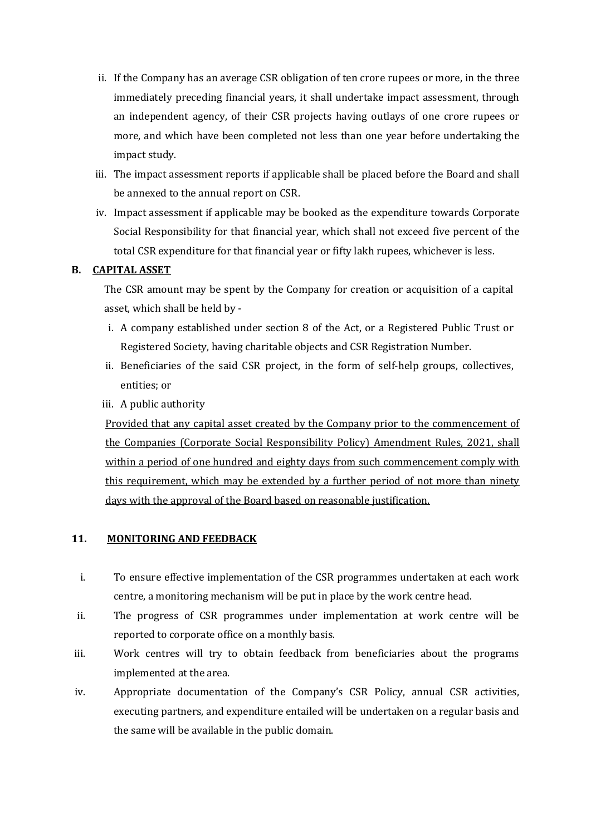- ii. If the Company has an average CSR obligation of ten crore rupees or more, in the three immediately preceding financial years, it shall undertake impact assessment, through an independent agency, of their CSR projects having outlays of one crore rupees or more, and which have been completed not less than one year before undertaking the impact study.
- iii. The impact assessment reports if applicable shall be placed before the Board and shall be annexed to the annual report on CSR.
- iv. Impact assessment if applicable may be booked as the expenditure towards Corporate Social Responsibility for that financial year, which shall not exceed five percent of the total CSR expenditure for that financial year or fifty lakh rupees, whichever is less.

### **B. CAPITAL ASSET**

The CSR amount may be spent by the Company for creation or acquisition of a capital asset, which shall be held by -

- i. A company established under section 8 of the Act, or a Registered Public Trust or Registered Society, having charitable objects and CSR Registration Number.
- ii. Beneficiaries of the said CSR project, in the form of self-help groups, collectives, entities; or
- iii. A public authority

Provided that any capital asset created by the Company prior to the commencement of the Companies (Corporate Social Responsibility Policy) Amendment Rules, 2021, shall within a period of one hundred and eighty days from such commencement comply with this requirement, which may be extended by a further period of not more than ninety days with the approval of the Board based on reasonable justification.

### **11. MONITORING AND FEEDBACK**

- i. To ensure effective implementation of the CSR programmes undertaken at each work centre, a monitoring mechanism will be put in place by the work centre head.
- ii. The progress of CSR programmes under implementation at work centre will be reported to corporate office on a monthly basis.
- iii. Work centres will try to obtain feedback from beneficiaries about the programs implemented at the area.
- iv. Appropriate documentation of the Company's CSR Policy, annual CSR activities, executing partners, and expenditure entailed will be undertaken on a regular basis and the same will be available in the public domain.